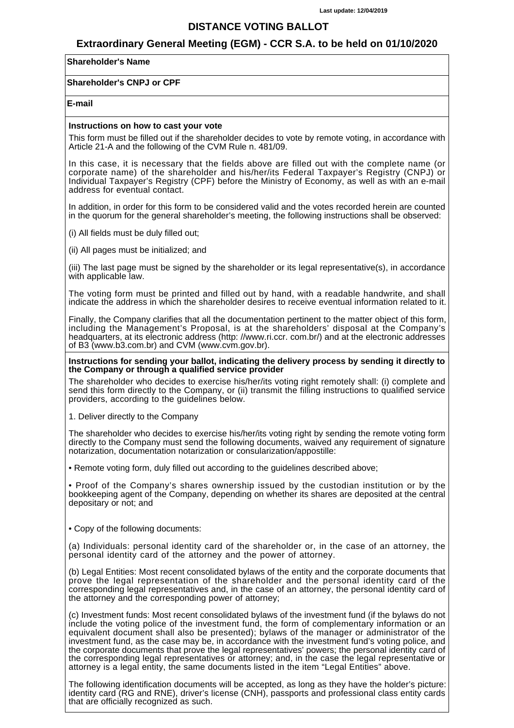## **DISTANCE VOTING BALLOT**

## **Extraordinary General Meeting (EGM) - CCR S.A. to be held on 01/10/2020**

## **Shareholder's Name**

### **Shareholder's CNPJ or CPF**

#### **E-mail**

#### **Instructions on how to cast your vote**

This form must be filled out if the shareholder decides to vote by remote voting, in accordance with Article 21-A and the following of the CVM Rule n. 481/09.

In this case, it is necessary that the fields above are filled out with the complete name (or corporate name) of the shareholder and his/her/its Federal Taxpayer's Registry (CNPJ) or Individual Taxpayer's Registry (CPF) before the Ministry of Economy, as well as with an e-mail address for eventual contact.

In addition, in order for this form to be considered valid and the votes recorded herein are counted in the quorum for the general shareholder's meeting, the following instructions shall be observed:

(i) All fields must be duly filled out;

(ii) All pages must be initialized; and

(iii) The last page must be signed by the shareholder or its legal representative(s), in accordance with applicable law.

The voting form must be printed and filled out by hand, with a readable handwrite, and shall indicate the address in which the shareholder desires to receive eventual information related to it.

Finally, the Company clarifies that all the documentation pertinent to the matter object of this form, including the Management's Proposal, is at the shareholders' disposal at the Company's headquarters, at its electronic address (http: //www.ri.ccr. com.br/) and at the electronic addresses of B3 (www.b3.com.br) and CVM (www.cvm.gov.br).

**Instructions for sending your ballot, indicating the delivery process by sending it directly to the Company or through a qualified service provider**

The shareholder who decides to exercise his/her/its voting right remotely shall: (i) complete and send this form directly to the Company, or (ii) transmit the filling instructions to qualified service providers, according to the guidelines below.

1. Deliver directly to the Company

The shareholder who decides to exercise his/her/its voting right by sending the remote voting form directly to the Company must send the following documents, waived any requirement of signature notarization, documentation notarization or consularization/appostille:

• Remote voting form, duly filled out according to the guidelines described above;

• Proof of the Company's shares ownership issued by the custodian institution or by the bookkeeping agent of the Company, depending on whether its shares are deposited at the central depositary or not; and

• Copy of the following documents:

(a) Individuals: personal identity card of the shareholder or, in the case of an attorney, the personal identity card of the attorney and the power of attorney.

(b) Legal Entities: Most recent consolidated bylaws of the entity and the corporate documents that prove the legal representation of the shareholder and the personal identity card of the corresponding legal representatives and, in the case of an attorney, the personal identity card of the attorney and the corresponding power of attorney;

(c) Investment funds: Most recent consolidated bylaws of the investment fund (if the bylaws do not include the voting police of the investment fund, the form of complementary information or an equivalent document shall also be presented); bylaws of the manager or administrator of the investment fund, as the case may be, in accordance with the investment fund's voting police, and the corporate documents that prove the legal representatives' powers; the personal identity card of the corresponding legal representatives or attorney; and, in the case the legal representative or attorney is a legal entity, the same documents listed in the item "Legal Entities" above.

The following identification documents will be accepted, as long as they have the holder's picture: identity card (RG and RNE), driver's license (CNH), passports and professional class entity cards that are officially recognized as such.